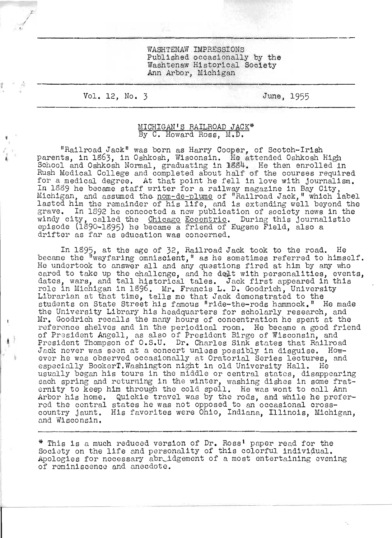WASHTENAW IMPRESSIONS Published occasionally by the Washtenaw Historical Society Ann Arbor, Michigan

Vol. 12, No. 3

/

•

 $\ddot{\phantom{a}}$ 

I ,

• I

June, 1955

## MICHIGAN'S RAILROAD JACK\* By C. Howard Ross. M.D.

"Railroad Jack" was born as Harry Cooper, of Scotch-Irish parents, in 1863, in Oshkosh, Wisconsin. He attended Oshkosh High School and Oshkosh Normal, graduating in 1884. He then enrolled in Rush Medical College and completed about half of the courses required for a medical degree. At that point he fell in love with journalism.<br>In 1339 he became staff writer for a railway magazine in Bay City,<br>Michigan, and assumed the <u>nom-de-plume</u> of "Railroad Jack," which label lasted him the remainder of his life, and is extending well beyond the grave. In 1892 he concocted a new publication of society news in the windy city, called the Chicago Eccentric. During this journalistic episode (1890-1895) he became a friend of Eugene Field, also a drifter as far as education was concerned.

In 1895, at the age of 32, Railroad Jack took to the road. He became the "wayfaring omniscient," as he sometimes referred to himself. He undertook to answer all and any questions fired at him by any who cared to take up the challenge, and he delt with personalities, events, cared to take up the charlenge, and he deatt with personalities, event<br>dates, wars, and tall historical tales. Jack first appeared in this role in Michigan in 1896. Mr. Francis L. D. Goodrich, University Librarian at that time, tells me that Jack demonstrated to the Librarian at that time, tells me that Jack demonstrated to the students on State Street his famous "ride-the-rods hammock." He made the University Library his headquarters for scholarly research, and Mr. Goodrich recalls the many hours of concentration he spent at the reference shelves and in the periodical room. He became a good friend of President Angell, as also of President Birge of Wisconsin, and President Thompson of O.S.U. Dr. Charles Sink states that Railroad Jack never was seen at a concert unless possibly in disguise. However he was observed occasionally at Oratorial Series lectures, and especially BookerT.Washington night in old University Hall. He usually began his tours in the middle or central states, disappearing each spring and returning in the winter, washing dishes in some fraternity to keep him through the cold spell. He was wont to call Ann Arbor his home. Quickie travel was by the rods, and while he prefer-<br>red the central states he was not opposed to an occasional crosscountry jaunt. His favorites were OhiO, Indiana, Illinois, Michigan, and Wisconsin.

\* This is a much reduced version of Dr. Ross' paper read for the Society on the life and personality of this colorful individual. Apologies for necessary abridgement of a most entertaining evening of reminiscence and anecdote.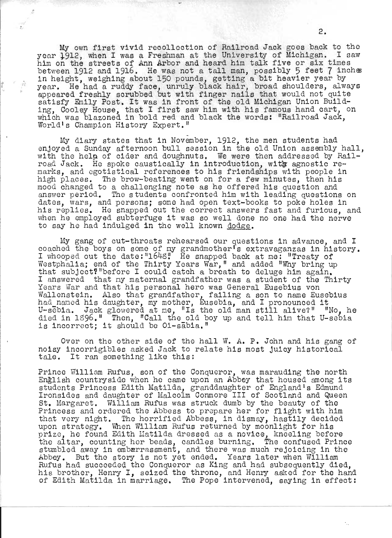My own first vivid recollection of Railroad Jack goes back to the year 1912, when I was a Freshman at the University of Michigan. I saw him on the streets of Ann Arbor and heard him talk five or six times between 1912 and 1916. He was not a tall man, possibly 5 feet 7 inches in height, weighing about 150 pounds, getting a bit heavier year by year. He had a ruddy face, unruly black hair, broad shoulders, always<br>appeared freshly scrubbed but with finger nails that would not quite satisfy Emily Post. It was in front of the old Michigan Union Building, Cooley House, that I first saw him with his famous hand cart, on mich was blazoned in bold red and black the words: "Railroad Jack, World's Champion History Expert."

My diary states that in November, 1912, the men students had. enjoyed a Sunday afternoon bull session in the old Union assembly hall, with the help of cider and doughnuts. We were then addressed by Railroad Jack. He spoke caustically in introduction, with agnostic remarks, and egotistical referehces to his friendships with people in high places. The brow-beating went on for a few minutes, then his mood changed to a challenging note as he offered his question and answer period. The students confronted him with leading questions on dates, wars, and persons; some had open text-books to poke holes in his replies. He snapped out the correct answers fast and furious, and when he employed subterfuge it was so well done no one had the nerve to say he had indulged in the well known dodge.

My gang of cut-throats rehearsed our questions in advance, and I coached the boys on some of my grandmother<sup>t</sup>s extravaganzas in history.<br>I whooped out the date: "164g" He snapped back at me: "Treaty of Westphalia; end of the Thirty Years War,<sup>11</sup> and added "Why bring up that subject?" before I could catch a breath to deluge him again.<br>I answered that my maternal grandfather was a student of the Thirty L answered that my maternal grandfather was a student of the Thirty Years War and that his personal hero was General Eusebius von Wallenstein. Also that grandfather, failing a son to name Eusebius wallenstein. Also that grandlather, lailing a son to hame Euset<br>had named his daughter, my mother, Eusebia, and I pronounced it U-sebia. Jack glowered at me, "ls the old man still alive,?" "No, he died in 1896." Then, "Call the old boy up and tell him that U-sebia aled in 1890." Then, "Call the Old D<br>is incorre<mark>ct; it</mark> should be Oi-sabia."

Over on the other side of tho hall W. A. P. John and his gang of noisy incorrigibles asked Jack to relate his most juicy historical tale. It ran something like this:

Prince William Rufus, son of the Conqueror, was marauding the north English countryside when he came upon an Abbey that housed among its students Princess Edith Matilda, granddaughter of England's Edmund Ironsides and daughter of Malcolm Conmore III of Scotland and Queen St. Margaret. William Rufus was struck dumb by the beauty of the Princess and ordered the Abbess to prepare her for flight with him that very night. The horrified Abbess, in dismay, hastily decidod upon strategy. When William Rufus returned by moonlight for his prize, he found Edith Matilda dressed as a novice, kneeling before the altar, counting her beads, candles burning. The confused Prince stumbled away in embarrassment, and there was much rejoicing in the Abbey. But the story is not yet ended. Years later when William Rufus had succeeded the Conqueror as King and had subsequently died, his brother, Henry I, seized the throne, and Henry asked for the hand of Edith Matilda in marriage. The Pope intervened, saying in effect: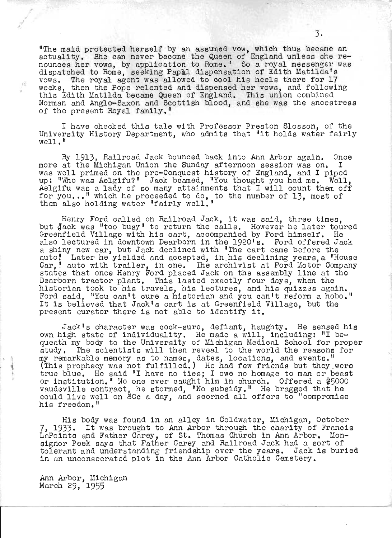"The maid protected herself by an assumed vow, which thus became an actuality. She can never become the Queen of England unless she renounces her vows, by application to Rome." So a royal messenger was dispatched to Rome, seeking Papal dispensation of Edith Matilda's vows. The royal agent was allowed to cool his heels there for 17 weeks, then the Pope relented and dispensed her vows, and following this Edith Matilda became Queen of England. This union combined Norman and Anglo-Saxon and Scottish blood, and she was the ancestress of the present Royal family."

I have checked this tale with Professor Preston Slosson, of the University History Department, who admits that "it holds water fairly well. "

By 1913, Railroad Jack bounced back into Ann Arbor again. Once more at the Michigan Union the Sunday afternoon session was on. I was well primed on the pre-Conquest history of England, and I piped up: "Who was Aelgifu?" Jack beamed, "You thought you had me. Well, Aelgifu was a lady of so many attainments that I will count them off for you..." which he proceeded to do, to the number of 13, most of them also holding water "fairly well."

Henry Ford called on Railroad Jack, it was said, three times, hold called on hailload back, it was said, these times, Greenfield Village with his cart, accompanied by Ford himself. He also lectured in downtown Dearborn in the 1920's. Ford offered Jack a shiny new car, but Jack declined with "The cart came before the auto" Later he yielded and accepted, in his declining years, a "House Car," auto with trailer, in one. The archivist at Ford Motor Company states that once Henry Ford placed Jack on the assembly line at the states that once Henry Ford placed Jack on the assembly line at the Dearborn tractor plant. This lasted exactly four days, when the historian took to his travels, his lectures, and his quizzes again. Ford said, "You can't cure a historian and you can't reform a hobo." It is believed that Jack's cart is at Greenfield Village, but the present curator there is not able to identify it.

Jack's character was cock-sure, defiant, haughty. He sensed his own high state of individuality. He mado a will, including: "I bequeath my body to the University of Michigan Medical School for proper study. The scientists will then reveal to the world the reasons for my remarkable memory as to names, dates, locations, and events." (This prophecy was not fulfilled.) He had few friends but they were true blue. He said "I have no ties; lowe no homage to man or beast or institution. " No one ever caught him in church. Offered a \$5000 vaudeville contract, he stormed, "No subsidy." He bragged that he could live well on 80c a day, and scorned all offers to "compromise his freedom."

His body was found in an alley in Ooldwater, Michigan, October 7, 1933. It was brought to Ann Arbor through the charity of Francis LaPointe and Father Carey, of St. Thomas Church in Ann Arbor. Monsignor Peek says that Father Oarey and Railroad Jack had a sort of tolerant and understanding friendship over the years. Jack is buried in an unconsecrated plot in the Ann Arbor Oatholic Oemetery.

Ann Arbor, Michigan March 29, 1955

 $\hat{E}^1_1$